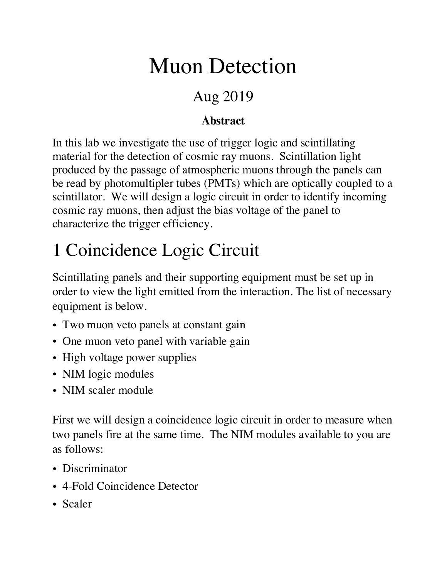# Muon Detection

#### Aug 2019

#### **Abstract**

In this lab we investigate the use of trigger logic and scintillating material for the detection of cosmic ray muons. Scintillation light produced by the passage of atmospheric muons through the panels can be read by photomultipler tubes (PMTs) which are optically coupled to a scintillator. We will design a logic circuit in order to identify incoming cosmic ray muons, then adjust the bias voltage of the panel to characterize the trigger efficiency.

## 1 Coincidence Logic Circuit

Scintillating panels and their supporting equipment must be set up in order to view the light emitted from the interaction. The list of necessary equipment is below.

- Two muon veto panels at constant gain
- One muon veto panel with variable gain
- High voltage power supplies
- NIM logic modules
- NIM scaler module

First we will design a coincidence logic circuit in order to measure when two panels fire at the same time. The NIM modules available to you are as follows:

- Discriminator
- 4-Fold Coincidence Detector
- Scaler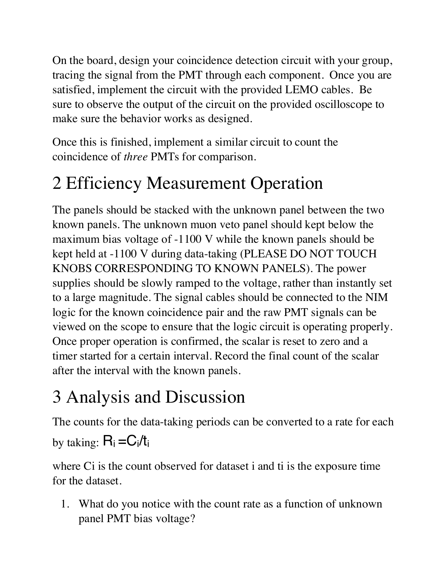On the board, design your coincidence detection circuit with your group, tracing the signal from the PMT through each component. Once you are satisfied, implement the circuit with the provided LEMO cables. Be sure to observe the output of the circuit on the provided oscilloscope to make sure the behavior works as designed.

Once this is finished, implement a similar circuit to count the coincidence of *three* PMTs for comparison.

### 2 Efficiency Measurement Operation

The panels should be stacked with the unknown panel between the two known panels. The unknown muon veto panel should kept below the maximum bias voltage of -1100 V while the known panels should be kept held at -1100 V during data-taking (PLEASE DO NOT TOUCH KNOBS CORRESPONDING TO KNOWN PANELS). The power supplies should be slowly ramped to the voltage, rather than instantly set to a large magnitude. The signal cables should be connected to the NIM logic for the known coincidence pair and the raw PMT signals can be viewed on the scope to ensure that the logic circuit is operating properly. Once proper operation is confirmed, the scalar is reset to zero and a timer started for a certain interval. Record the final count of the scalar after the interval with the known panels.

### 3 Analysis and Discussion

The counts for the data-taking periods can be converted to a rate for each

by taking:  $R_i = C_i/t_i$ 

where Ci is the count observed for dataset i and ti is the exposure time for the dataset.

1. What do you notice with the count rate as a function of unknown panel PMT bias voltage?